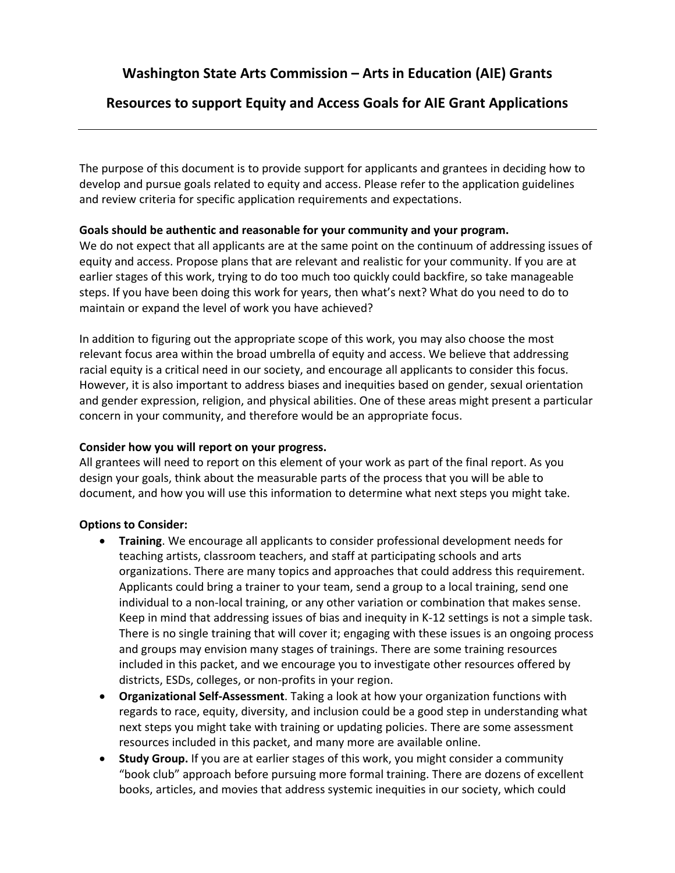## **Washington State Arts Commission – Arts in Education (AIE) Grants**

## **Resources to support Equity and Access Goals for AIE Grant Applications**

The purpose of this document is to provide support for applicants and grantees in deciding how to develop and pursue goals related to equity and access. Please refer to the application guidelines and review criteria for specific application requirements and expectations.

## **Goals should be authentic and reasonable for your community and your program.**

We do not expect that all applicants are at the same point on the continuum of addressing issues of equity and access. Propose plans that are relevant and realistic for your community. If you are at earlier stages of this work, trying to do too much too quickly could backfire, so take manageable steps. If you have been doing this work for years, then what's next? What do you need to do to maintain or expand the level of work you have achieved?

In addition to figuring out the appropriate scope of this work, you may also choose the most relevant focus area within the broad umbrella of equity and access. We believe that addressing racial equity is a critical need in our society, and encourage all applicants to consider this focus. However, it is also important to address biases and inequities based on gender, sexual orientation and gender expression, religion, and physical abilities. One of these areas might present a particular concern in your community, and therefore would be an appropriate focus.

## **Consider how you will report on your progress.**

All grantees will need to report on this element of your work as part of the final report. As you design your goals, think about the measurable parts of the process that you will be able to document, and how you will use this information to determine what next steps you might take.

## **Options to Consider:**

- **Training**. We encourage all applicants to consider professional development needs for teaching artists, classroom teachers, and staff at participating schools and arts organizations. There are many topics and approaches that could address this requirement. Applicants could bring a trainer to your team, send a group to a local training, send one individual to a non-local training, or any other variation or combination that makes sense. Keep in mind that addressing issues of bias and inequity in K-12 settings is not a simple task. There is no single training that will cover it; engaging with these issues is an ongoing process and groups may envision many stages of trainings. There are some training resources included in this packet, and we encourage you to investigate other resources offered by districts, ESDs, colleges, or non-profits in your region.
- **Organizational Self-Assessment**. Taking a look at how your organization functions with regards to race, equity, diversity, and inclusion could be a good step in understanding what next steps you might take with training or updating policies. There are some assessment resources included in this packet, and many more are available online.
- **Study Group.** If you are at earlier stages of this work, you might consider a community "book club" approach before pursuing more formal training. There are dozens of excellent books, articles, and movies that address systemic inequities in our society, which could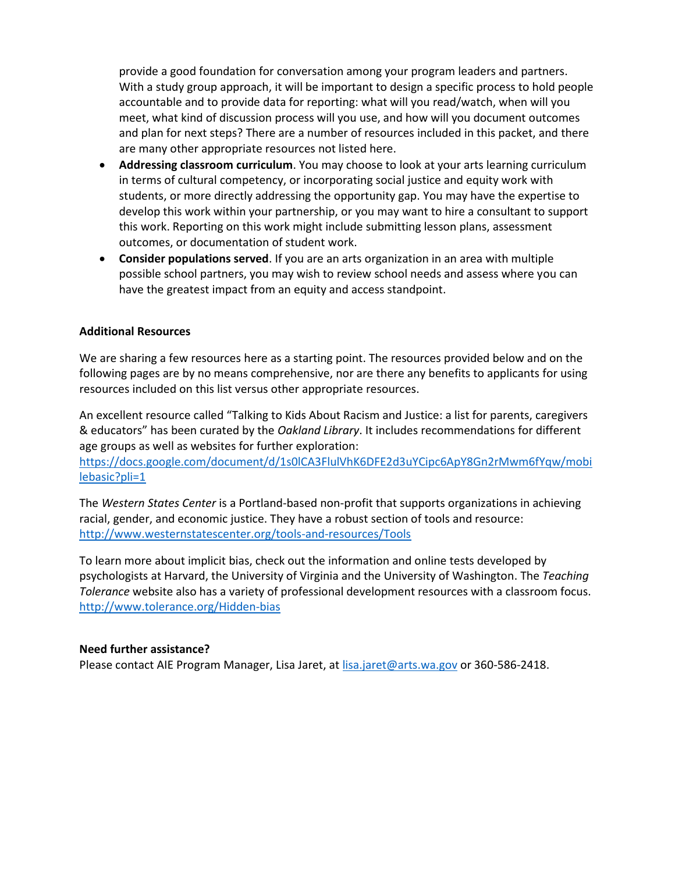provide a good foundation for conversation among your program leaders and partners. With a study group approach, it will be important to design a specific process to hold people accountable and to provide data for reporting: what will you read/watch, when will you meet, what kind of discussion process will you use, and how will you document outcomes and plan for next steps? There are a number of resources included in this packet, and there are many other appropriate resources not listed here.

- **Addressing classroom curriculum**. You may choose to look at your arts learning curriculum in terms of cultural competency, or incorporating social justice and equity work with students, or more directly addressing the opportunity gap. You may have the expertise to develop this work within your partnership, or you may want to hire a consultant to support this work. Reporting on this work might include submitting lesson plans, assessment outcomes, or documentation of student work.
- **Consider populations served**. If you are an arts organization in an area with multiple possible school partners, you may wish to review school needs and assess where you can have the greatest impact from an equity and access standpoint.

## **Additional Resources**

We are sharing a few resources here as a starting point. The resources provided below and on the following pages are by no means comprehensive, nor are there any benefits to applicants for using resources included on this list versus other appropriate resources.

An excellent resource called "Talking to Kids About Racism and Justice: a list for parents, caregivers & educators" has been curated by the *Oakland Library*. It includes recommendations for different age groups as well as websites for further exploration:

[https://docs.google.com/document/d/1s0lCA3FlulVhK6DFE2d3uYCipc6ApY8Gn2rMwm6fYqw/mobi](https://docs.google.com/document/d/1s0lCA3FlulVhK6DFE2d3uYCipc6ApY8Gn2rMwm6fYqw/mobilebasic?pli=1) [lebasic?pli=1](https://docs.google.com/document/d/1s0lCA3FlulVhK6DFE2d3uYCipc6ApY8Gn2rMwm6fYqw/mobilebasic?pli=1)

The *Western States Center* is a Portland-based non-profit that supports organizations in achieving racial, gender, and economic justice. They have a robust section of tools and resource: <http://www.westernstatescenter.org/tools-and-resources/Tools>

To learn more about implicit bias, check out the information and online tests developed by psychologists at Harvard, the University of Virginia and the University of Washington. The *Teaching Tolerance* website also has a variety of professional development resources with a classroom focus. <http://www.tolerance.org/Hidden-bias>

#### **Need further assistance?**

Please contact AIE Program Manager, Lisa Jaret, a[t lisa.jaret@arts.wa.gov](mailto:lisa.jaret@arts.wa.gov) or 360-586-2418.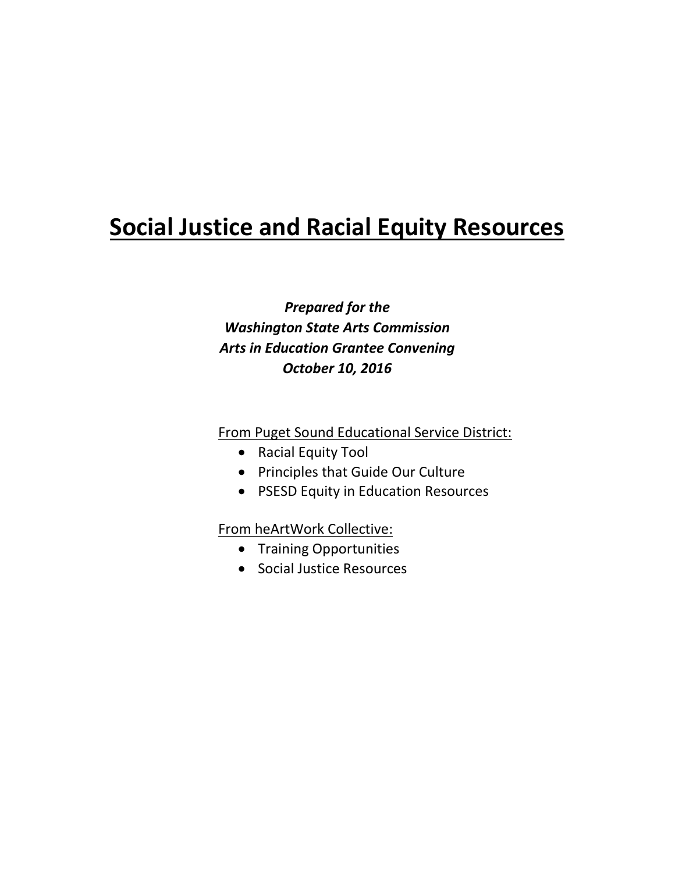## **Social Justice and Racial Equity Resources**

## *Prepared for the Washington State Arts Commission Arts in Education Grantee Convening October 10, 2016*

## From Puget Sound Educational Service District:

- Racial Equity Tool
- Principles that Guide Our Culture
- PSESD Equity in Education Resources

## From heArtWork Collective:

- Training Opportunities
- Social Justice Resources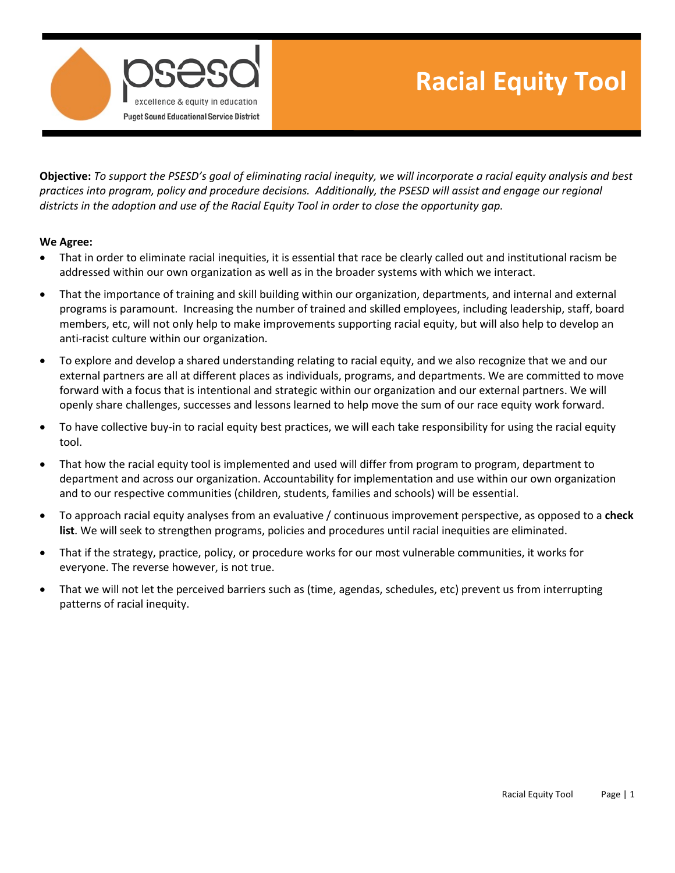

# **Racial Equity Tool**

**Objective:** *To support the PSESD's goal of eliminating racial inequity, we will incorporate a racial equity analysis and best practices into program, policy and procedure decisions. Additionally, the PSESD will assist and engage our regional districts in the adoption and use of the Racial Equity Tool in order to close the opportunity gap.* 

#### **We Agree:**

- That in order to eliminate racial inequities, it is essential that race be clearly called out and institutional racism be addressed within our own organization as well as in the broader systems with which we interact.
- That the importance of training and skill building within our organization, departments, and internal and external programs is paramount. Increasing the number of trained and skilled employees, including leadership, staff, board members, etc, will not only help to make improvements supporting racial equity, but will also help to develop an anti-racist culture within our organization.
- To explore and develop a shared understanding relating to racial equity, and we also recognize that we and our external partners are all at different places as individuals, programs, and departments. We are committed to move forward with a focus that is intentional and strategic within our organization and our external partners. We will openly share challenges, successes and lessons learned to help move the sum of our race equity work forward.
- To have collective buy-in to racial equity best practices, we will each take responsibility for using the racial equity tool.
- That how the racial equity tool is implemented and used will differ from program to program, department to department and across our organization. Accountability for implementation and use within our own organization and to our respective communities (children, students, families and schools) will be essential.
- To approach racial equity analyses from an evaluative / continuous improvement perspective, as opposed to a **check list**. We will seek to strengthen programs, policies and procedures until racial inequities are eliminated.
- That if the strategy, practice, policy, or procedure works for our most vulnerable communities, it works for everyone. The reverse however, is not true.
- That we will not let the perceived barriers such as (time, agendas, schedules, etc) prevent us from interrupting patterns of racial inequity.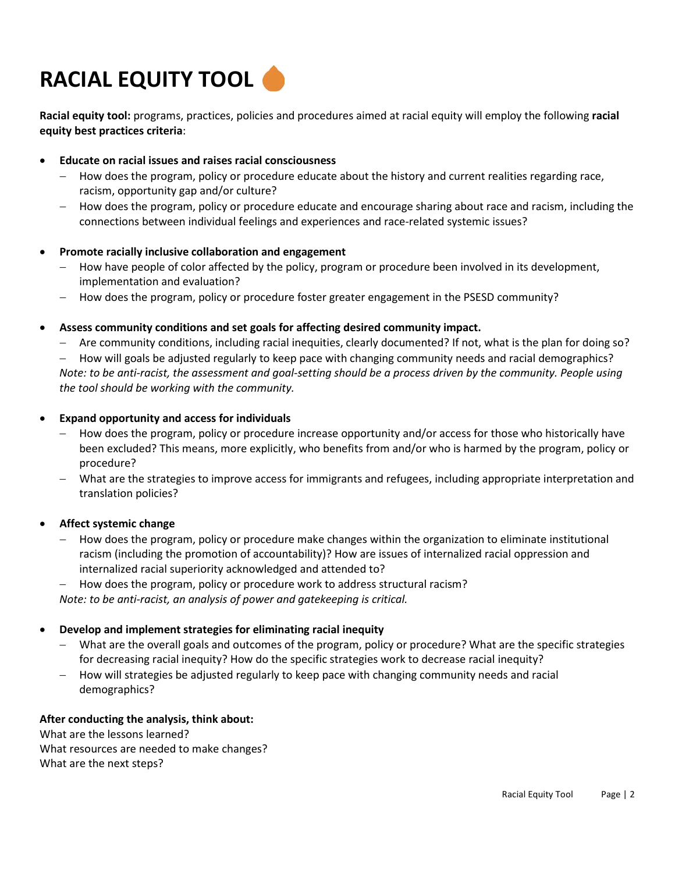# **RACIAL EQUITY TOOL**

**Racial equity tool:** programs, practices, policies and procedures aimed at racial equity will employ the following **racial equity best practices criteria**:

## • **Educate on racial issues and raises racial consciousness**

- − How does the program, policy or procedure educate about the history and current realities regarding race, racism, opportunity gap and/or culture?
- − How does the program, policy or procedure educate and encourage sharing about race and racism, including the connections between individual feelings and experiences and race-related systemic issues?

## • **Promote racially inclusive collaboration and engagement**

- − How have people of color affected by the policy, program or procedure been involved in its development, implementation and evaluation?
- − How does the program, policy or procedure foster greater engagement in the PSESD community?
- **Assess community conditions and set goals for affecting desired community impact.** 
	- − Are community conditions, including racial inequities, clearly documented? If not, what is the plan for doing so?

− How will goals be adjusted regularly to keep pace with changing community needs and racial demographics? *Note: to be anti-racist, the assessment and goal-setting should be a process driven by the community. People using the tool should be working with the community.* 

#### • **Expand opportunity and access for individuals**

- − How does the program, policy or procedure increase opportunity and/or access for those who historically have been excluded? This means, more explicitly, who benefits from and/or who is harmed by the program, policy or procedure?
- − What are the strategies to improve access for immigrants and refugees, including appropriate interpretation and translation policies?

#### • **Affect systemic change**

- − How does the program, policy or procedure make changes within the organization to eliminate institutional racism (including the promotion of accountability)? How are issues of internalized racial oppression and internalized racial superiority acknowledged and attended to?
- − How does the program, policy or procedure work to address structural racism?

*Note: to be anti-racist, an analysis of power and gatekeeping is critical.* 

#### • **Develop and implement strategies for eliminating racial inequity**

- − What are the overall goals and outcomes of the program, policy or procedure? What are the specific strategies for decreasing racial inequity? How do the specific strategies work to decrease racial inequity?
- − How will strategies be adjusted regularly to keep pace with changing community needs and racial demographics?

#### **After conducting the analysis, think about:**

What are the lessons learned? What resources are needed to make changes? What are the next steps?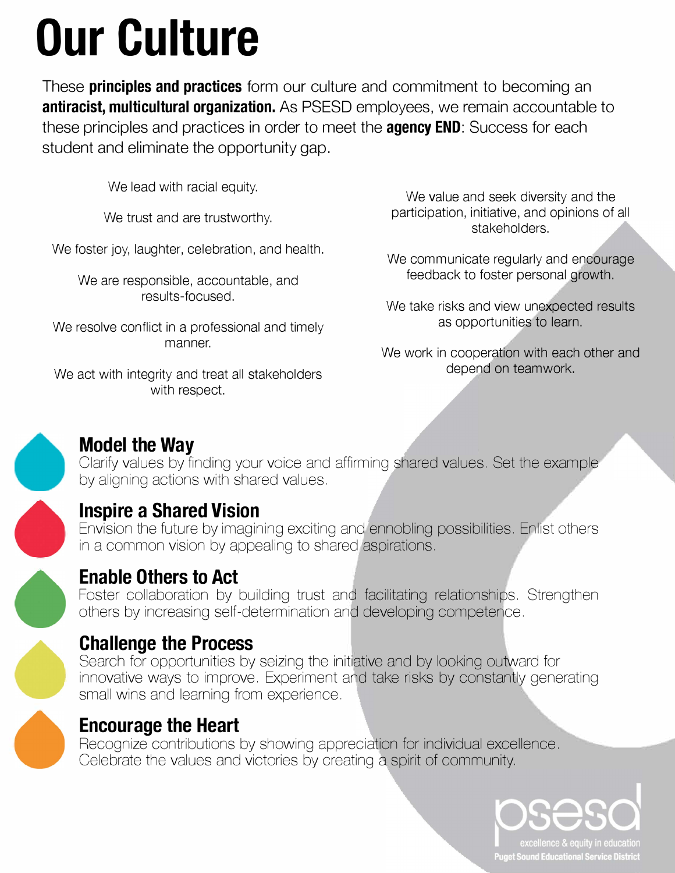# **Our Culture**

These **principles and practices** form our culture and commitment to becoming an **antiracist, multicultural organization.** As PSESD employees, we remain accountable to these principles and practices in order to meet the **agency END:** Success for each student and eliminate the opportunity gap.

We lead with racial equity.

We trust and are trustworthy.

We foster joy, laughter, celebration, and health.

We are responsible, accountable, and results-focused.

We resolve conflict in a professional and timely manner.

We act with integrity and treat all stakeholders with respect.

We value and seek diversity and the participation, initiative, and opinions of all stakeholders.

We communicate regularly and encourage feedback to foster personal growth.

We take risks and view unexpected results as opportunities to learn.

We work in cooperation with each other and depend on teamwork.



## **Model the Way**

Clarify values by finding your voice and affirming shared values. Set the example by aligning actions with shared values.

## **Inspire a Shared Vision**

Envision the future by imagining exciting and ennobling possibilities. Enlist others in a common vision by appealing to shared aspirations.



## **Enable Others to Act**

Foster collaboration by building trust and facilitating relationships. Strengthen others by increasing self-determination and developing competence.

## **Challenge the Process**

Search for opportunities by seizing the initiative and by looking outward for innovative ways to improve. Experiment and take risks by constantly generating small wins and learning from experience.

## **Encourage the Heart**

Recognize contributions by showing appreciation for individual excellence. Celebrate the values and victories by creating a spirit of community.

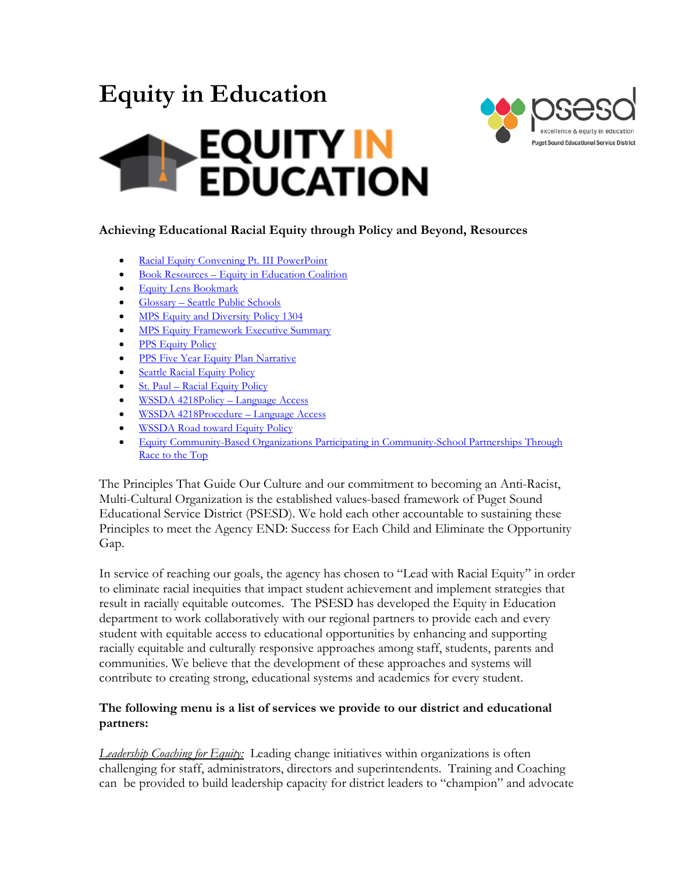# **Equity in Education**





## **Achieving Educational Racial Equity through Policy and Beyond, Resources**

- [Racial Equity Convening](https://www.psesd.org/wp-content/uploads/2013/12/Racial-Equity-Convening-3-BR.pptx) Pt. III PowerPoint
- Book Resources [Equity in Education Coalition](https://www.psesd.org/wp-content/uploads/2016/03/Book-Resources-Equity-in-Education-Coalition.pdf)
- [Equity Lens Bookmark](https://www.psesd.org/wp-content/uploads/2016/03/Equity-Lense-Bookmark-WEB-PPS.pdf)
- Glossary [Seattle Public Schools](https://www.psesd.org/wp-content/uploads/2016/03/Glossary-Seattle-Public-Schools.pdf)
- [MPS Equity and Diversity Policy 1304](https://www.psesd.org/wp-content/uploads/2016/03/MPS-Eqity-and-Diversity-Policy-1304.pdf)
- [MPS Equity Framework Executive Summary](https://www.psesd.org/wp-content/uploads/2016/03/MPS-Equity-Framework-Executive-Summary.pdf)
- [PPS Equity Policy](https://www.psesd.org/wp-content/uploads/2016/03/PPS-2_10_010_P_Equity_Policy.pdf)
- [PPS Five Year Equity Plan Narrative](https://www.psesd.org/wp-content/uploads/2016/03/PPS-3-31-14-Five-Year-Equity-Plan-Narrative.pdf)
- **[Seattle Racial Equity Policy](https://www.psesd.org/wp-content/uploads/2016/03/Seattle-Racial-Equity-Policy.pdf)**
- St. Paul [Racial Equity Policy](https://www.psesd.org/wp-content/uploads/2016/03/St.-Paul-Racial-Equity-Policy.pdf)
- [WSSDA 4218Policy –](https://www.psesd.org/wp-content/uploads/2016/03/WSSDA-4218Policy_Language-Access_DRAFT41916.pdf) Language Access
- [WSSDA 4218Procedure –](https://www.psesd.org/wp-content/uploads/2016/03/WSSDA-4218Procedure_Language-Access_DRAFT41916.pdf) Language Access
- [WSSDA Road toward Equity Policy](https://www.psesd.org/wp-content/uploads/2016/03/WSSDA-Road-toward-Equity-Policy.pdf)
- [Equity Community-Based Organizations Participating in Community-School Partnerships Through](https://www.psesd.org/wp-content/uploads/2013/12/EQ-Community-Based-Organizations_Chart.jpg)  [Race to the Top](https://www.psesd.org/wp-content/uploads/2013/12/EQ-Community-Based-Organizations_Chart.jpg)

The Principles That Guide Our Culture and our commitment to becoming an Anti-Racist, Multi-Cultural Organization is the established values-based framework of Puget Sound Educational Service District (PSESD). We hold each other accountable to sustaining these Principles to meet the Agency END: Success for Each Child and Eliminate the Opportunity Gap.

In service of reaching our goals, the agency has chosen to "Lead with Racial Equity" in order to eliminate racial inequities that impact student achievement and implement strategies that result in racially equitable outcomes. The PSESD has developed the Equity in Education department to work collaboratively with our regional partners to provide each and every student with equitable access to educational opportunities by enhancing and supporting racially equitable and culturally responsive approaches among staff, students, parents and communities. We believe that the development of these approaches and systems will contribute to creating strong, educational systems and academics for every student.

## **The following menu is a list of services we provide to our district and educational partners:**

*Leadership Coaching for Equity:* Leading change initiatives within organizations is often challenging for staff, administrators, directors and superintendents. Training and Coaching can be provided to build leadership capacity for district leaders to "champion" and advocate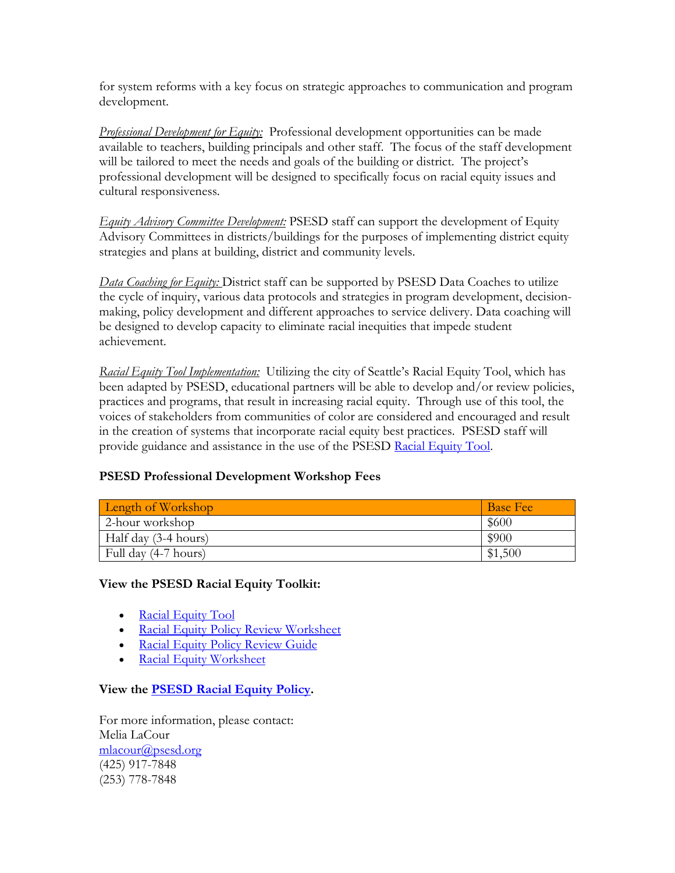for system reforms with a key focus on strategic approaches to communication and program development.

*Professional Development for Equity:* Professional development opportunities can be made available to teachers, building principals and other staff. The focus of the staff development will be tailored to meet the needs and goals of the building or district. The project's professional development will be designed to specifically focus on racial equity issues and cultural responsiveness.

*Equity Advisory Committee Development:* PSESD staff can support the development of Equity Advisory Committees in districts/buildings for the purposes of implementing district equity strategies and plans at building, district and community levels.

*Data Coaching for Equity:* District staff can be supported by PSESD Data Coaches to utilize the cycle of inquiry, various data protocols and strategies in program development, decisionmaking, policy development and different approaches to service delivery. Data coaching will be designed to develop capacity to eliminate racial inequities that impede student achievement.

*Racial Equity Tool Implementation:* Utilizing the city of Seattle's Racial Equity Tool, which has been adapted by PSESD, educational partners will be able to develop and/or review policies, practices and programs, that result in increasing racial equity. Through use of this tool, the voices of stakeholders from communities of color are considered and encouraged and result in the creation of systems that incorporate racial equity best practices. PSESD staff will provide guidance and assistance in the use of the PSESD [Racial Equity Tool.](http://www.psesd.org/wp-content/uploads/2015/03/RacialEquityTool.pdf)

## **PSESD Professional Development Workshop Fees**

| Length of Workshop   | <b>Base Fee</b> |
|----------------------|-----------------|
| 2-hour workshop      | \$600           |
| Half day (3-4 hours) | \$900           |
| Full day (4-7 hours) | \$1,500         |

## **View the PSESD Racial Equity Toolkit:**

- [Racial Equity Tool](http://www.psesd.org/wp-content/uploads/2015/03/RacialEquityTool.pdf)
- [Racial Equity Policy Review Worksheet](http://www.psesd.org/wp-content/uploads/2015/03/PSESD_RET_PolicyReviewWorksheet.pdf)
- [Racial Equity Policy Review Guide](http://www.psesd.org/wp-content/uploads/2015/03/PSESD_RET_PolicyReviewGuide.pdf)
- Racial [Equity Worksheet](http://www.psesd.org/wp-content/uploads/2015/03/PSESD_RET_Worksheet.pdf)

## **View the [PSESD Racial Equity Policy.](http://www.psesd.org/wp-content/uploads/2015/03/PSESDRacialEquityPolicy1010.pdf)**

For more information, please contact: Melia LaCour [mlacour@psesd.org](mailto:mlacour@psesd.org) (425) 917-7848 (253) 778-7848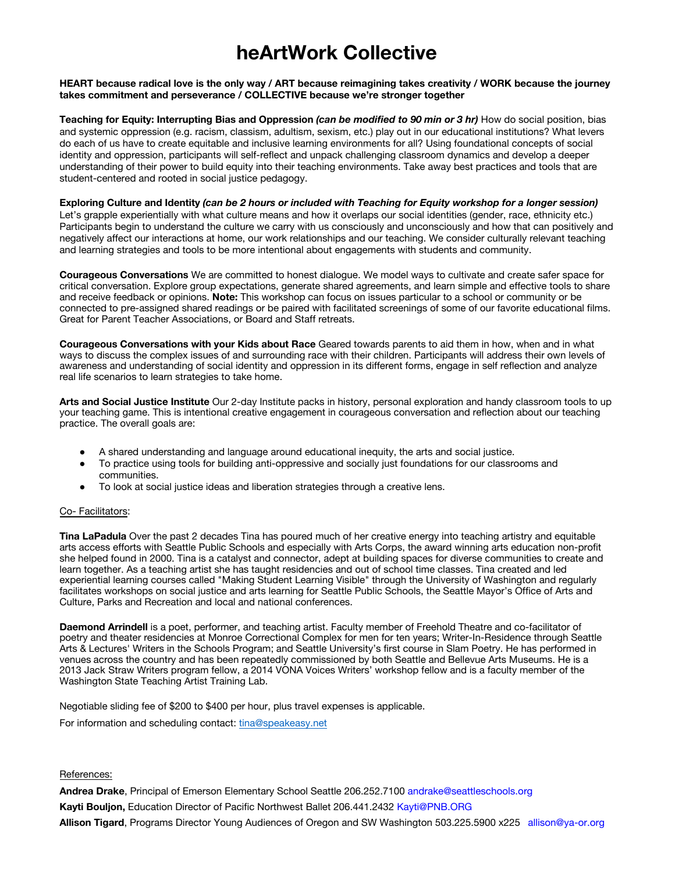## **heArtWork Collective**

**HEART because radical love is the only way / ART because reimagining takes creativity / WORK because the journey takes commitment and perseverance / COLLECTIVE because we're stronger together**

**Teaching for Equity: Interrupting Bias and Oppression** *(can be modified to 90 min or 3 hr)*  How do social position, bias and systemic oppression (e.g. racism, classism, adultism, sexism, etc.) play out in our educational institutions? What levers do each of us have to create equitable and inclusive learning environments for all? Using foundational concepts of social identity and oppression, participants will self-reflect and unpack challenging classroom dynamics and develop a deeper understanding of their power to build equity into their teaching environments. Take away best practices and tools that are student-centered and rooted in social justice pedagogy.

**Exploring Culture and Identity** *(can be 2 hours or included with Teaching for Equity workshop for a longer session)* Let's grapple experientially with what culture means and how it overlaps our social identities (gender, race, ethnicity etc.) Participants begin to understand the culture we carry with us consciously and unconsciously and how that can positively and negatively affect our interactions at home, our work relationships and our teaching. We consider culturally relevant teaching and learning strategies and tools to be more intentional about engagements with students and community.

**Courageous Conversations** We are committed to honest dialogue. We model ways to cultivate and create safer space for critical conversation. Explore group expectations, generate shared agreements, and learn simple and effective tools to share and receive feedback or opinions. **Note:** This workshop can focus on issues particular to a school or community or be connected to pre-assigned shared readings or be paired with facilitated screenings of some of our favorite educational films. Great for Parent Teacher Associations, or Board and Staff retreats.

**Courageous Conversations with your Kids about Race** Geared towards parents to aid them in how, when and in what ways to discuss the complex issues of and surrounding race with their children. Participants will address their own levels of awareness and understanding of social identity and oppression in its different forms, engage in self reflection and analyze real life scenarios to learn strategies to take home.

**Arts and Social Justice Institute** Our 2-day Institute packs in history, personal exploration and handy classroom tools to up your teaching game. This is intentional creative engagement in courageous conversation and reflection about our teaching practice. The overall goals are:

- A shared understanding and language around educational inequity, the arts and social justice.
- To practice using tools for building anti-oppressive and socially just foundations for our classrooms and communities.
- To look at social justice ideas and liberation strategies through a creative lens.

#### Co- Facilitators:

**Tina LaPadula** Over the past 2 decades Tina has poured much of her creative energy into teaching artistry and equitable arts access efforts with Seattle Public Schools and especially with Arts Corps, the award winning arts education non-profit she helped found in 2000. Tina is a catalyst and connector, adept at building spaces for diverse communities to create and learn together. As a teaching artist she has taught residencies and out of school time classes. Tina created and led experiential learning courses called "Making Student Learning Visible" through the University of Washington and regularly facilitates workshops on social justice and arts learning for Seattle Public Schools, the Seattle Mayor's Office of Arts and Culture, Parks and Recreation and local and national conferences.

**Daemond Arrindell** is a poet, performer, and teaching artist. Faculty member of Freehold Theatre and co-facilitator of poetry and theater residencies at Monroe Correctional Complex for men for ten years; Writer-In-Residence through Seattle Arts & Lectures' Writers in the Schools Program; and Seattle University's first course in Slam Poetry. He has performed in venues across the country and has been repeatedly commissioned by both Seattle and Bellevue Arts Museums. He is a 2013 Jack Straw Writers program fellow, a 2014 VONA Voices Writers' workshop fellow and is a faculty member of the Washington State Teaching Artist Training Lab.

Negotiable sliding fee of \$200 to \$400 per hour, plus travel expenses is applicable.

For information and scheduling contact: [tina@speakeasy.net](mailto:tina@speakeasy.net) 

#### References:

**Andrea Drake**, Principal of Emerson Elementary School Seattle 206.252.7100 andrake@seattleschools.org **Kayti Bouljon,** Education Director of Pacific Northwest Ballet 206.441.2432 Kayti@PNB.ORG **Allison Tigard**, Programs Director Young Audiences of Oregon and SW Washington 503.225.5900 x225 allison@ya-or.org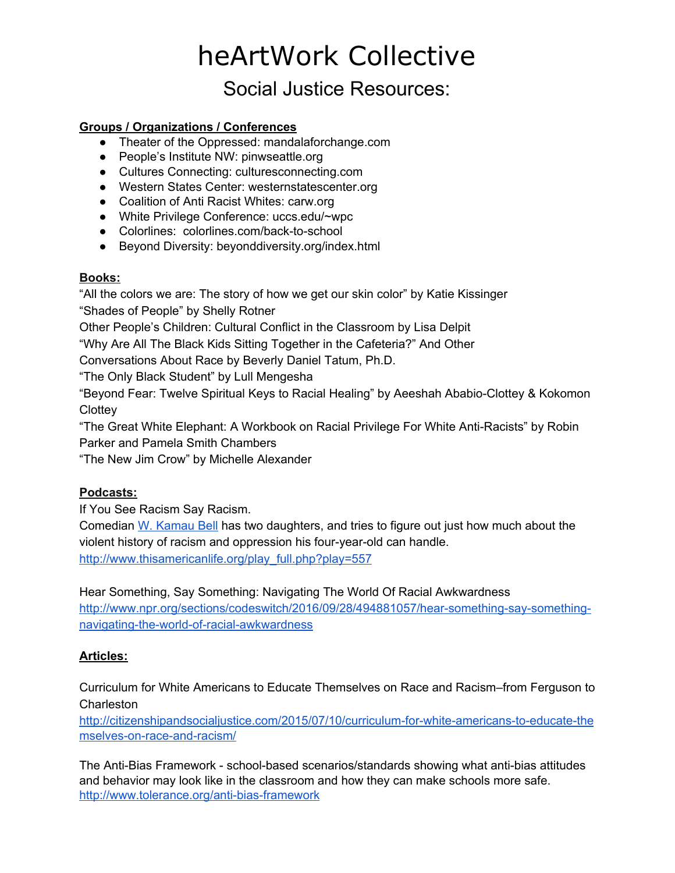# heArtWork Collective

## Social Justice Resources:

## **Groups / Organizations / Conferences**

- Theater of the Oppressed: mandalaforchange.com
- People's Institute NW: pinwseattle.org
- Cultures Connecting: culturesconnecting.com
- Western States Center: westernstatescenter.org
- Coalition of Anti Racist Whites: carw.org
- White Privilege Conference: uccs.edu/~wpc
- Colorlines: colorlines.com/back-to-school
- Beyond Diversity: beyonddiversity.org/index.html

## **Books:**

"All the colors we are: The story of how we get our skin color" by Katie Kissinger "Shades of People" by Shelly Rotner

Other People's Children: Cultural Conflict in the Classroom by Lisa Delpit

"Why Are All The Black Kids Sitting Together in the Cafeteria?" And Other

Conversations About Race by Beverly Daniel Tatum, Ph.D.

"The Only Black Student" by Lull Mengesha

"Beyond Fear: Twelve Spiritual Keys to Racial Healing" by Aeeshah Ababio-Clottey & Kokomon **Clottey** 

"The Great White Elephant: A Workbook on Racial Privilege For White Anti-Racists" by Robin Parker and Pamela Smith Chambers

"The New Jim Crow" by Michelle Alexander

## **Podcasts:**

If You See Racism Say Racism.

Comedian [W. Kamau Bell](http://www.wkamaubell.com/) has two daughters, and tries to figure out just how much about the violent history of racism and oppression his four-year-old can handle. [http://www.thisamericanlife.org/play\\_full.php?play=557](http://www.thisamericanlife.org/play_full.php?play=557)

Hear Something, Say Something: Navigating The World Of Racial Awkwardness [http://www.npr.org/sections/codeswitch/2016/09/28/494881057/hear-something-say-something](http://www.npr.org/sections/codeswitch/2016/09/28/494881057/hear-something-say-something-navigating-the-world-of-racial-awkwardness)[navigating-the-world-of-racial-awkwardness](http://www.npr.org/sections/codeswitch/2016/09/28/494881057/hear-something-say-something-navigating-the-world-of-racial-awkwardness)

## **Articles:**

Curriculum for White Americans to Educate Themselves on Race and Racism–from Ferguson to **Charleston** 

[http://citizenshipandsocialjustice.com/2015/07/10/curriculum-for-white-americans-to-educate-the](http://citizenshipandsocialjustice.com/2015/07/10/curriculum-for-white-americans-to-educate-themselves-on-race-and-racism/) [mselves-on-race-and-racism/](http://citizenshipandsocialjustice.com/2015/07/10/curriculum-for-white-americans-to-educate-themselves-on-race-and-racism/)

The Anti-Bias Framework - school-based scenarios/standards showing what anti-bias attitudes and behavior may look like in the classroom and how they can make schools more safe. <http://www.tolerance.org/anti-bias-framework>